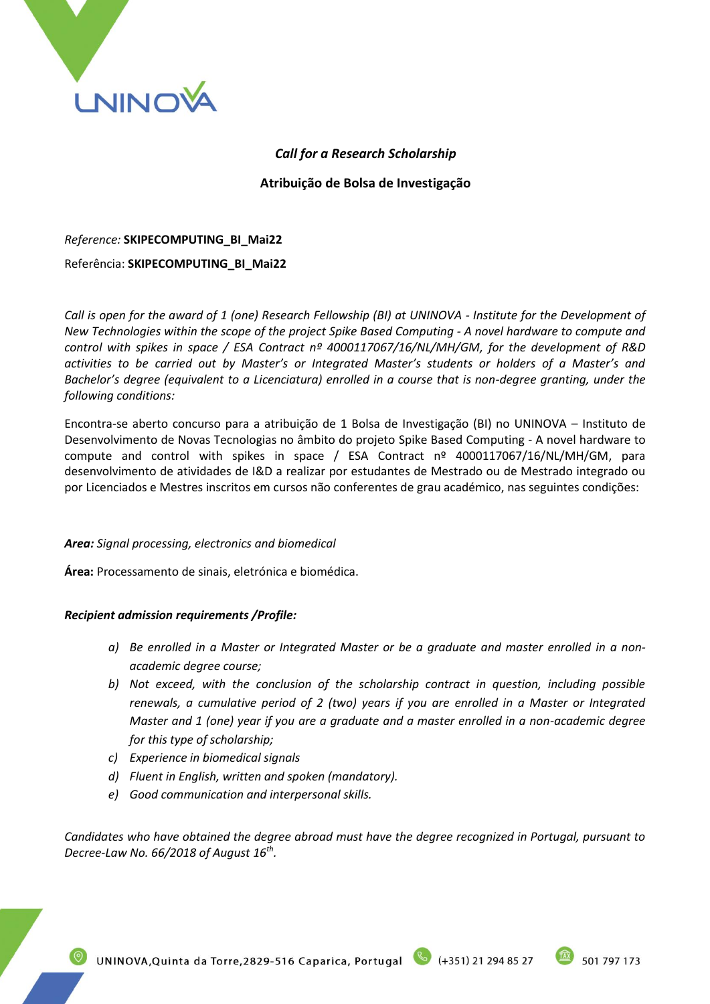

## *Call for a Research Scholarship*

**Atribuição de Bolsa de Investigação**

## *Reference:* **SKIPECOMPUTING\_BI\_Mai22**

### Referência: **SKIPECOMPUTING\_BI\_Mai22**

*Call is open for the award of 1 (one) Research Fellowship (BI) at UNINOVA - Institute for the Development of New Technologies within the scope of the project Spike Based Computing - A novel hardware to compute and control with spikes in space / ESA Contract nº 4000117067/16/NL/MH/GM, for the development of R&D activities to be carried out by Master's or Integrated Master's students or holders of a Master's and Bachelor's degree (equivalent to a Licenciatura) enrolled in a course that is non-degree granting, under the following conditions:*

Encontra-se aberto concurso para a atribuição de 1 Bolsa de Investigação (BI) no UNINOVA – Instituto de Desenvolvimento de Novas Tecnologias no âmbito do projeto Spike Based Computing - A novel hardware to compute and control with spikes in space / ESA Contract nº 4000117067/16/NL/MH/GM, para desenvolvimento de atividades de I&D a realizar por estudantes de Mestrado ou de Mestrado integrado ou por Licenciados e Mestres inscritos em cursos não conferentes de grau académico, nas seguintes condições:

### *Area: Signal processing, electronics and biomedical*

**Área:** Processamento de sinais, eletrónica e biomédica.

### *Recipient admission requirements /Profile:*

- *a) Be enrolled in a Master or Integrated Master or be a graduate and master enrolled in a nonacademic degree course;*
- *b) Not exceed, with the conclusion of the scholarship contract in question, including possible renewals, a cumulative period of 2 (two) years if you are enrolled in a Master or Integrated Master and 1 (one) year if you are a graduate and a master enrolled in a non-academic degree for this type of scholarship;*
- *c) Experience in biomedical signals*
- *d) Fluent in English, written and spoken (mandatory).*
- *e) Good communication and interpersonal skills.*

*Candidates who have obtained the degree abroad must have the degree recognized in Portugal, pursuant to Decree-Law No. 66/2018 of August 16th .*

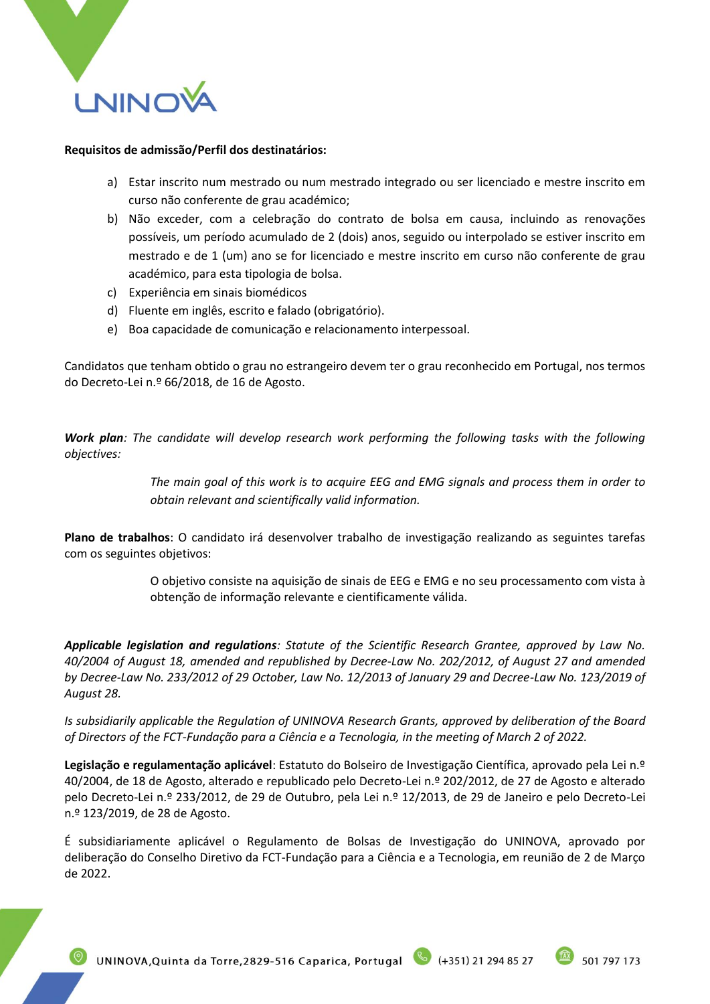

# **Requisitos de admissão/Perfil dos destinatários:**

- a) Estar inscrito num mestrado ou num mestrado integrado ou ser licenciado e mestre inscrito em curso não conferente de grau académico;
- b) Não exceder, com a celebração do contrato de bolsa em causa, incluindo as renovações possíveis, um período acumulado de 2 (dois) anos, seguido ou interpolado se estiver inscrito em mestrado e de 1 (um) ano se for licenciado e mestre inscrito em curso não conferente de grau académico, para esta tipologia de bolsa.
- c) Experiência em sinais biomédicos
- d) Fluente em inglês, escrito e falado (obrigatório).
- e) Boa capacidade de comunicação e relacionamento interpessoal.

Candidatos que tenham obtido o grau no estrangeiro devem ter o grau reconhecido em Portugal, nos termos do Decreto-Lei n.º 66/2018, de 16 de Agosto.

*Work plan: The candidate will develop research work performing the following tasks with the following objectives:*

> *The main goal of this work is to acquire EEG and EMG signals and process them in order to obtain relevant and scientifically valid information.*

**Plano de trabalhos**: O candidato irá desenvolver trabalho de investigação realizando as seguintes tarefas com os seguintes objetivos:

> O objetivo consiste na aquisição de sinais de EEG e EMG e no seu processamento com vista à obtenção de informação relevante e cientificamente válida.

*Applicable legislation and regulations: Statute of the Scientific Research Grantee, approved by Law No. 40/2004 of August 18, amended and republished by Decree-Law No. 202/2012, of August 27 and amended by Decree-Law No. 233/2012 of 29 October, Law No. 12/2013 of January 29 and Decree-Law No. 123/2019 of August 28.*

*Is subsidiarily applicable the Regulation of UNINOVA Research Grants, approved by deliberation of the Board of Directors of the FCT-Fundação para a Ciência e a Tecnologia, in the meeting of March 2 of 2022.*

**Legislação e regulamentação aplicável**: Estatuto do Bolseiro de Investigação Científica, aprovado pela Lei n.º 40/2004, de 18 de Agosto, alterado e republicado pelo Decreto-Lei n.º 202/2012, de 27 de Agosto e alterado pelo Decreto-Lei n.º 233/2012, de 29 de Outubro, pela Lei n.º 12/2013, de 29 de Janeiro e pelo Decreto-Lei n.º 123/2019, de 28 de Agosto.

É subsidiariamente aplicável o Regulamento de Bolsas de Investigação do UNINOVA, aprovado por deliberação do Conselho Diretivo da FCT-Fundação para a Ciência e a Tecnologia, em reunião de 2 de Março de 2022.

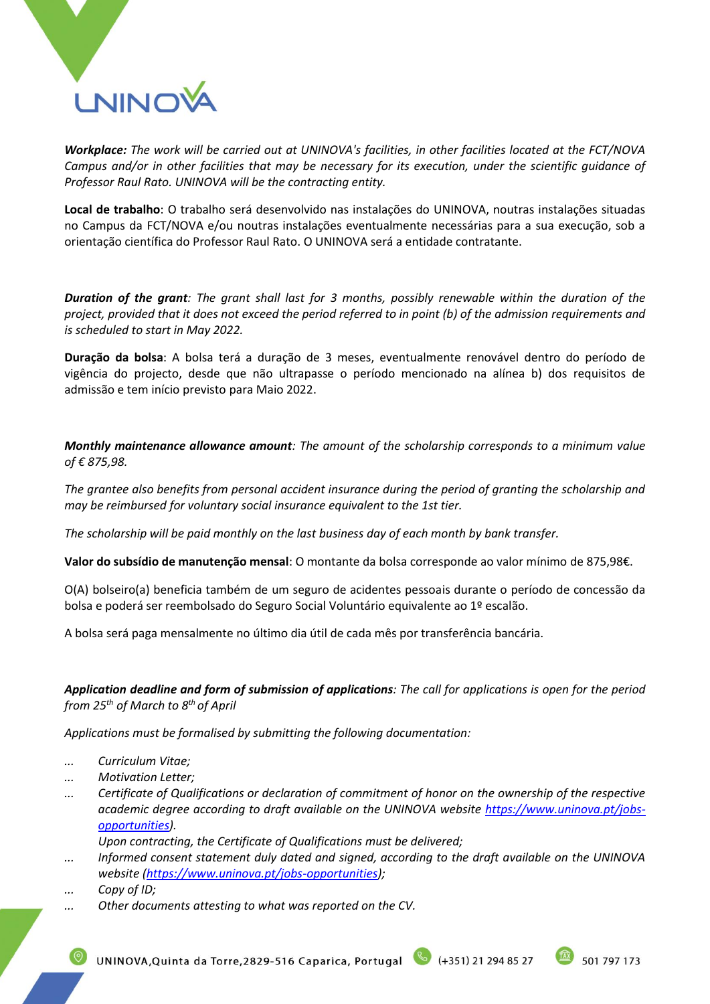

*Workplace: The work will be carried out at UNINOVA's facilities, in other facilities located at the FCT/NOVA Campus and/or in other facilities that may be necessary for its execution, under the scientific guidance of Professor Raul Rato. UNINOVA will be the contracting entity.*

**Local de trabalho**: O trabalho será desenvolvido nas instalações do UNINOVA, noutras instalações situadas no Campus da FCT/NOVA e/ou noutras instalações eventualmente necessárias para a sua execução, sob a orientação científica do Professor Raul Rato. O UNINOVA será a entidade contratante.

*Duration of the grant: The grant shall last for 3 months, possibly renewable within the duration of the project, provided that it does not exceed the period referred to in point (b) of the admission requirements and is scheduled to start in May 2022.*

**Duração da bolsa**: A bolsa terá a duração de 3 meses, eventualmente renovável dentro do período de vigência do projecto, desde que não ultrapasse o período mencionado na alínea b) dos requisitos de admissão e tem início previsto para Maio 2022.

*Monthly maintenance allowance amount: The amount of the scholarship corresponds to a minimum value of € 875,98.* 

*The grantee also benefits from personal accident insurance during the period of granting the scholarship and may be reimbursed for voluntary social insurance equivalent to the 1st tier.*

*The scholarship will be paid monthly on the last business day of each month by bank transfer.*

**Valor do subsídio de manutenção mensal**: O montante da bolsa corresponde ao valor mínimo de 875,98€.

O(A) bolseiro(a) beneficia também de um seguro de acidentes pessoais durante o período de concessão da bolsa e poderá ser reembolsado do Seguro Social Voluntário equivalente ao 1º escalão.

A bolsa será paga mensalmente no último dia útil de cada mês por transferência bancária.

*Application deadline and form of submission of applications: The call for applications is open for the period from 25 th of March to 8th of April*

*Applications must be formalised by submitting the following documentation:*

- *... Curriculum Vitae;*
- *... Motivation Letter;*
- *... Certificate of Qualifications or declaration of commitment of honor on the ownership of the respective academic degree according to draft available on the UNINOVA website [https://www.uninova.pt/jobs](https://www.uninova.pt/jobs-opportunities)[opportunities\)](https://www.uninova.pt/jobs-opportunities).*

*Upon contracting, the Certificate of Qualifications must be delivered;*

- *... Informed consent statement duly dated and signed, according to the draft available on the UNINOVA website [\(https://www.uninova.pt/jobs-opportunities\)](https://www.uninova.pt/jobs-opportunities);*
- *... Copy of ID;*
- *... Other documents attesting to what was reported on the CV.*

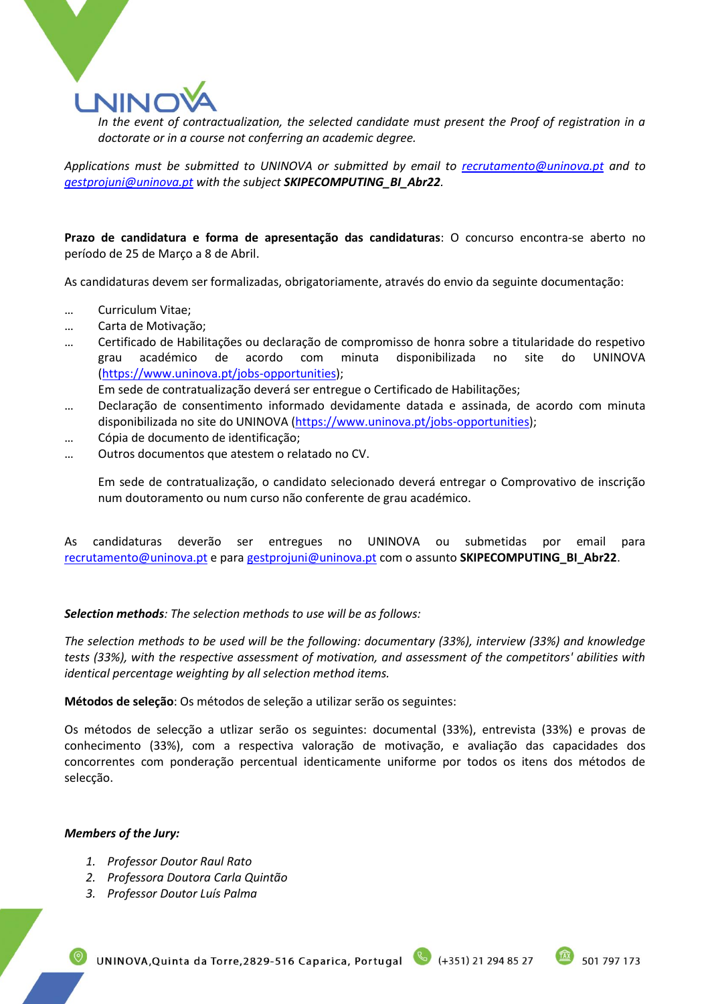

*In the event of contractualization, the selected candidate must present the Proof of registration in a doctorate or in a course not conferring an academic degree.*

*Applications must be submitted to UNINOVA or submitted by email to [recrutamento@uninova.pt](mailto:recrutamento@uninova.pt) and to [gestprojuni@uninova.pt](mailto:gestprojuni@uninova.pt) with the subject SKIPECOMPUTING\_BI\_Abr22.*

**Prazo de candidatura e forma de apresentação das candidaturas**: O concurso encontra-se aberto no período de 25 de Março a 8 de Abril.

As candidaturas devem ser formalizadas, obrigatoriamente, através do envio da seguinte documentação:

- … Curriculum Vitae;
- … Carta de Motivação;
- … Certificado de Habilitações ou declaração de compromisso de honra sobre a titularidade do respetivo grau académico de acordo com minuta disponibilizada no site do UNINOVA [\(https://www.uninova.pt/jobs-opportunities\)](https://www.uninova.pt/jobs-opportunities);

Em sede de contratualização deverá ser entregue o Certificado de Habilitações;

- … Declaração de consentimento informado devidamente datada e assinada, de acordo com minuta disponibilizada no site do UNINOVA [\(https://www.uninova.pt/jobs-opportunities\)](https://www.uninova.pt/jobs-opportunities);
- … Cópia de documento de identificação;
- … Outros documentos que atestem o relatado no CV.

Em sede de contratualização, o candidato selecionado deverá entregar o Comprovativo de inscrição num doutoramento ou num curso não conferente de grau académico.

As candidaturas deverão ser entregues no UNINOVA ou submetidas por email para [recrutamento@uninova.pt](mailto:recrutamento@uninova.pt) e para [gestprojuni@uninova.pt](mailto:gestprojuni@uninova.pt) com o assunto **SKIPECOMPUTING\_BI\_Abr22**.

### *Selection methods: The selection methods to use will be as follows:*

*The selection methods to be used will be the following: documentary (33%), interview (33%) and knowledge tests (33%), with the respective assessment of motivation, and assessment of the competitors' abilities with identical percentage weighting by all selection method items.*

**Métodos de seleção**: Os métodos de seleção a utilizar serão os seguintes:

Os métodos de selecção a utlizar serão os seguintes: documental (33%), entrevista (33%) e provas de conhecimento (33%), com a respectiva valoração de motivação, e avaliação das capacidades dos concorrentes com ponderação percentual identicamente uniforme por todos os itens dos métodos de selecção.

#### *Members of the Jury:*

- *1. Professor Doutor Raul Rato*
- *2. Professora Doutora Carla Quintão*
- *3. Professor Doutor Luís Palma*